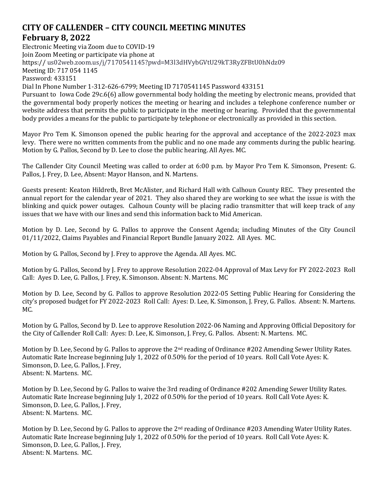## **CITY OF CALLENDER – CITY COUNCIL MEETING MINUTES February 8, 2022**

Electronic Meeting via Zoom due to COVID-19 Join Zoom Meeting or participate via phone at https:// us02web.zoom.us/j/7170541145?pwd=M3l3dHVybGVtU29kT3RyZFBtU0hNdz09 Meeting ID: 717 054 1145 Password: 433151 Dial In Phone Number 1-312-626-6799; Meeting ID 7170541145 Password 433151 Pursuant to Iowa Code 29c.6(6) allow governmental body holding the meeting by electronic means, provided that the governmental body properly notices the meeting or hearing and includes a telephone conference number or website address that permits the public to participate in the meeting or hearing. Provided that the governmental

Mayor Pro Tem K. Simonson opened the public hearing for the approval and acceptance of the 2022-2023 max levy. There were no written comments from the public and no one made any comments during the public hearing. Motion by G. Pallos, Second by D. Lee to close the public hearing. All Ayes. MC.

body provides a means for the public to participate by telephone or electronically as provided in this section.

The Callender City Council Meeting was called to order at 6:00 p.m. by Mayor Pro Tem K. Simonson, Present: G. Pallos, J. Frey, D. Lee, Absent: Mayor Hanson, and N. Martens.

Guests present: Keaton Hildreth, Bret McAlister, and Richard Hall with Calhoun County REC. They presented the annual report for the calendar year of 2021. They also shared they are working to see what the issue is with the blinking and quick power outages. Calhoun County will be placing radio transmitter that will keep track of any issues that we have with our lines and send this information back to Mid American.

Motion by D. Lee, Second by G. Pallos to approve the Consent Agenda; including Minutes of the City Council 01/11/2022, Claims Payables and Financial Report Bundle January 2022. All Ayes. MC.

Motion by G. Pallos, Second by J. Frey to approve the Agenda. All Ayes. MC.

Motion by G. Pallos, Second by J. Frey to approve Resolution 2022-04 Approval of Max Levy for FY 2022-2023 Roll Call: Ayes D. Lee, G. Pallos, J. Frey, K. Simonson. Absent: N. Martens. MC

Motion by D. Lee, Second by G. Pallos to approve Resolution 2022-05 Setting Public Hearing for Considering the city's proposed budget for FY 2022-2023 Roll Call: Ayes: D. Lee, K. Simonson, J. Frey, G. Pallos. Absent: N. Martens. MC.

Motion by G. Pallos, Second by D. Lee to approve Resolution 2022-06 Naming and Approving Official Depository for the City of Callender Roll Call: Ayes: D. Lee, K. Simonson, J. Frey, G. Pallos. Absent: N. Martens. MC.

Motion by D. Lee, Second by G. Pallos to approve the  $2^{nd}$  reading of Ordinance #202 Amending Sewer Utility Rates. Automatic Rate Increase beginning July 1, 2022 of 0.50% for the period of 10 years. Roll Call Vote Ayes: K. Simonson, D. Lee, G. Pallos, J. Frey, Absent: N. Martens. MC.

Motion by D. Lee, Second by G. Pallos to waive the 3rd reading of Ordinance #202 Amending Sewer Utility Rates. Automatic Rate Increase beginning July 1, 2022 of 0.50% for the period of 10 years. Roll Call Vote Ayes: K. Simonson, D. Lee, G. Pallos, J. Frey, Absent: N. Martens. MC.

Motion by D. Lee, Second by G. Pallos to approve the 2<sup>nd</sup> reading of Ordinance #203 Amending Water Utility Rates. Automatic Rate Increase beginning July 1, 2022 of 0.50% for the period of 10 years. Roll Call Vote Ayes: K. Simonson, D. Lee, G. Pallos, J. Frey, Absent: N. Martens. MC.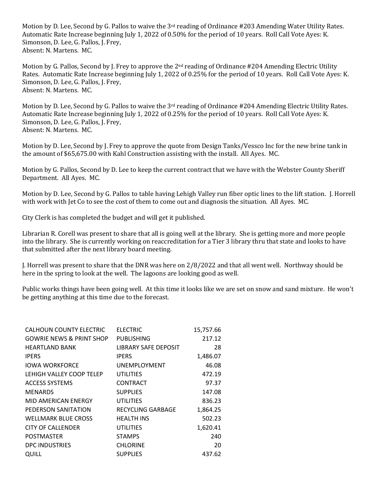Motion by D. Lee, Second by G. Pallos to waive the 3rd reading of Ordinance #203 Amending Water Utility Rates. Automatic Rate Increase beginning July 1, 2022 of 0.50% for the period of 10 years. Roll Call Vote Ayes: K. Simonson, D. Lee, G. Pallos, J. Frey, Absent: N. Martens. MC.

Motion by G. Pallos, Second by J. Frey to approve the  $2^{nd}$  reading of Ordinance #204 Amending Electric Utility Rates. Automatic Rate Increase beginning July 1, 2022 of 0.25% for the period of 10 years. Roll Call Vote Ayes: K. Simonson, D. Lee, G. Pallos, J. Frey, Absent: N. Martens. MC.

Motion by D. Lee, Second by G. Pallos to waive the  $3<sup>rd</sup>$  reading of Ordinance #204 Amending Electric Utility Rates. Automatic Rate Increase beginning July 1, 2022 of 0.25% for the period of 10 years. Roll Call Vote Ayes: K. Simonson, D. Lee, G. Pallos, J. Frey, Absent: N. Martens. MC.

Motion by D. Lee, Second by J. Frey to approve the quote from Design Tanks/Vessco Inc for the new brine tank in the amount of \$65,675.00 with Kahl Construction assisting with the install. All Ayes. MC.

Motion by G. Pallos, Second by D. Lee to keep the current contract that we have with the Webster County Sheriff Department. All Ayes. MC.

Motion by D. Lee, Second by G. Pallos to table having Lehigh Valley run fiber optic lines to the lift station. J. Horrell with work with Jet Co to see the cost of them to come out and diagnosis the situation. All Ayes. MC.

City Clerk is has completed the budget and will get it published.

Librarian R. Corell was present to share that all is going well at the library. She is getting more and more people into the library. She is currently working on reaccreditation for a Tier 3 library thru that state and looks to have that submitted after the next library board meeting.

J. Horrell was present to share that the DNR was here on 2/8/2022 and that all went well. Northway should be here in the spring to look at the well. The lagoons are looking good as well.

Public works things have been going well. At this time it looks like we are set on snow and sand mixture. He won't be getting anything at this time due to the forecast.

| CALHOUN COUNTY ELECTRIC             | <b>ELECTRIC</b>      | 15,757.66 |
|-------------------------------------|----------------------|-----------|
| <b>GOWRIE NEWS &amp; PRINT SHOP</b> | PUBLISHING           | 217.12    |
| <b>HEARTLAND BANK</b>               | LIBRARY SAFE DEPOSIT | 28        |
| <b>IPERS</b>                        | <b>IPERS</b>         | 1,486.07  |
| <b>IOWA WORKFORCE</b>               | <b>UNEMPLOYMENT</b>  | 46.08     |
| LEHIGH VALLEY COOP TELEP            | UTILITIES            | 472.19    |
| <b>ACCESS SYSTEMS</b>               | CONTRACT             | 97.37     |
| <b>MENARDS</b>                      | <b>SUPPLIES</b>      | 147.08    |
| MID AMERICAN ENERGY                 | UTILITIES            | 836.23    |
| PEDERSON SANITATION                 | RECYCLING GARBAGE    | 1,864.25  |
| <b>WELLMARK BLUE CROSS</b>          | <b>HEALTH INS</b>    | 502.23    |
| <b>CITY OF CALLENDER</b>            | UTILITIES            | 1,620.41  |
| <b>POSTMASTER</b>                   | <b>STAMPS</b>        | 240       |
| DPC INDUSTRIES                      | <b>CHLORINE</b>      | 20        |
| QUILL                               | <b>SUPPLIES</b>      | 437.62    |